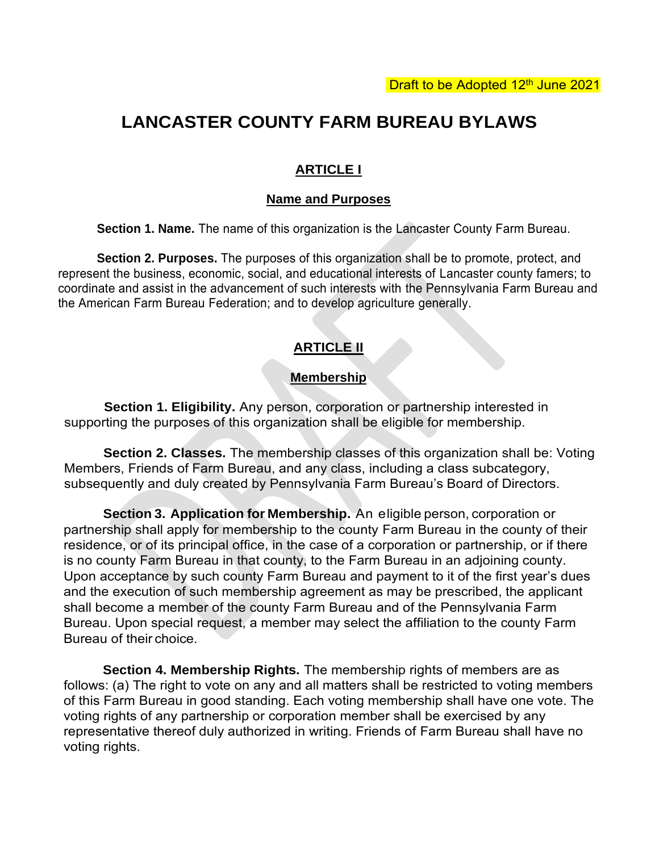# **LANCASTER COUNTY FARM BUREAU BYLAWS**

#### **ARTICLE I**

#### **Name and Purposes**

**Section 1. Name.** The name of this organization is the Lancaster County Farm Bureau.

**Section 2. Purposes.** The purposes of this organization shall be to promote, protect, and represent the business, economic, social, and educational interests of Lancaster county famers; to coordinate and assist in the advancement of such interests with the Pennsylvania Farm Bureau and the American Farm Bureau Federation; and to develop agriculture generally.

## **ARTICLE II**

#### **Membership**

**Section 1. Eligibility.** Any person, corporation or partnership interested in supporting the purposes of this organization shall be eligible for membership.

**Section 2. Classes.** The membership classes of this organization shall be: Voting Members, Friends of Farm Bureau, and any class, including a class subcategory, subsequently and duly created by Pennsylvania Farm Bureau's Board of Directors.

**Section 3. Application for Membership.** An eligible person, corporation or partnership shall apply for membership to the county Farm Bureau in the county of their residence, or of its principal office, in the case of a corporation or partnership, or if there is no county Farm Bureau in that county, to the Farm Bureau in an adjoining county. Upon acceptance by such county Farm Bureau and payment to it of the first year's dues and the execution of such membership agreement as may be prescribed, the applicant shall become a member of the county Farm Bureau and of the Pennsylvania Farm Bureau. Upon special request, a member may select the affiliation to the county Farm Bureau of their choice.

**Section 4. Membership Rights.** The membership rights of members are as follows: (a) The right to vote on any and all matters shall be restricted to voting members of this Farm Bureau in good standing. Each voting membership shall have one vote. The voting rights of any partnership or corporation member shall be exercised by any representative thereof duly authorized in writing. Friends of Farm Bureau shall have no voting rights.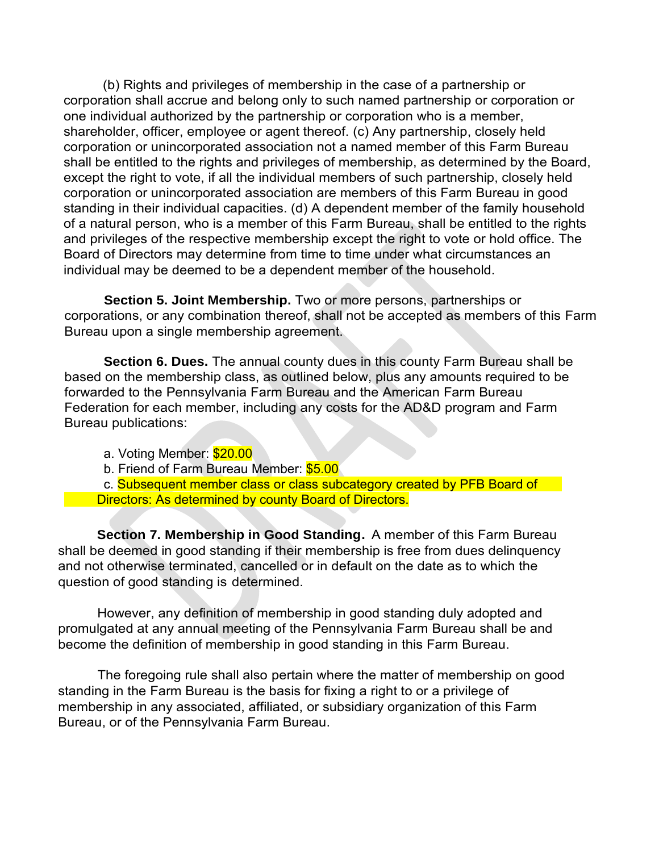(b) Rights and privileges of membership in the case of a partnership or corporation shall accrue and belong only to such named partnership or corporation or one individual authorized by the partnership or corporation who is a member, shareholder, officer, employee or agent thereof. (c) Any partnership, closely held corporation or unincorporated association not a named member of this Farm Bureau shall be entitled to the rights and privileges of membership, as determined by the Board, except the right to vote, if all the individual members of such partnership, closely held corporation or unincorporated association are members of this Farm Bureau in good standing in their individual capacities. (d) A dependent member of the family household of a natural person, who is a member of this Farm Bureau, shall be entitled to the rights and privileges of the respective membership except the right to vote or hold office. The Board of Directors may determine from time to time under what circumstances an individual may be deemed to be a dependent member of the household.

**Section 5. Joint Membership.** Two or more persons, partnerships or corporations, or any combination thereof, shall not be accepted as members of this Farm Bureau upon a single membership agreement.

**Section 6. Dues.** The annual county dues in this county Farm Bureau shall be based on the membership class, as outlined below, plus any amounts required to be forwarded to the Pennsylvania Farm Bureau and the American Farm Bureau Federation for each member, including any costs for the AD&D program and Farm Bureau publications:

a. Voting Member: \$20.00

b. Friend of Farm Bureau Member: \$5.00

c. Subsequent member class or class subcategory created by PFB Board of Directors: As determined by county Board of Directors.

**Section 7. Membership in Good Standing.** A member of this Farm Bureau shall be deemed in good standing if their membership is free from dues delinquency and not otherwise terminated, cancelled or in default on the date as to which the question of good standing is determined.

However, any definition of membership in good standing duly adopted and promulgated at any annual meeting of the Pennsylvania Farm Bureau shall be and become the definition of membership in good standing in this Farm Bureau.

The foregoing rule shall also pertain where the matter of membership on good standing in the Farm Bureau is the basis for fixing a right to or a privilege of membership in any associated, affiliated, or subsidiary organization of this Farm Bureau, or of the Pennsylvania Farm Bureau.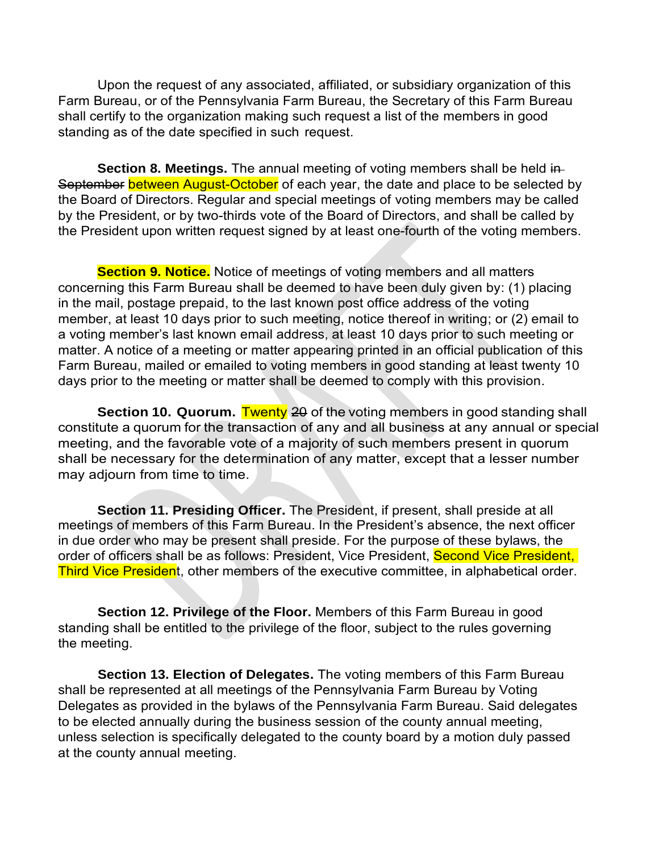Upon the request of any associated, affiliated, or subsidiary organization of this Farm Bureau, or of the Pennsylvania Farm Bureau, the Secretary of this Farm Bureau shall certify to the organization making such request a list of the members in good standing as of the date specified in such request.

**Section 8. Meetings.** The annual meeting of voting members shall be held in-September between August-October of each year, the date and place to be selected by the Board of Directors. Regular and special meetings of voting members may be called by the President, or by two-thirds vote of the Board of Directors, and shall be called by the President upon written request signed by at least one-fourth of the voting members.

**Section 9. Notice.** Notice of meetings of voting members and all matters concerning this Farm Bureau shall be deemed to have been duly given by: (1) placing in the mail, postage prepaid, to the last known post office address of the voting member, at least 10 days prior to such meeting, notice thereof in writing; or (2) email to a voting member's last known email address, at least 10 days prior to such meeting or matter. A notice of a meeting or matter appearing printed in an official publication of this Farm Bureau, mailed or emailed to voting members in good standing at least twenty 10 days prior to the meeting or matter shall be deemed to comply with this provision.

**Section 10. Quorum.** Twenty 20 of the voting members in good standing shall constitute a quorum for the transaction of any and all business at any annual or special meeting, and the favorable vote of a majority of such members present in quorum shall be necessary for the determination of any matter, except that a lesser number may adjourn from time to time.

**Section 11. Presiding Officer.** The President, if present, shall preside at all meetings of members of this Farm Bureau. In the President's absence, the next officer in due order who may be present shall preside. For the purpose of these bylaws, the order of officers shall be as follows: President, Vice President, Second Vice President, Third Vice President, other members of the executive committee, in alphabetical order.

**Section 12. Privilege of the Floor.** Members of this Farm Bureau in good standing shall be entitled to the privilege of the floor, subject to the rules governing the meeting.

**Section 13. Election of Delegates.** The voting members of this Farm Bureau shall be represented at all meetings of the Pennsylvania Farm Bureau by Voting Delegates as provided in the bylaws of the Pennsylvania Farm Bureau. Said delegates to be elected annually during the business session of the county annual meeting, unless selection is specifically delegated to the county board by a motion duly passed at the county annual meeting.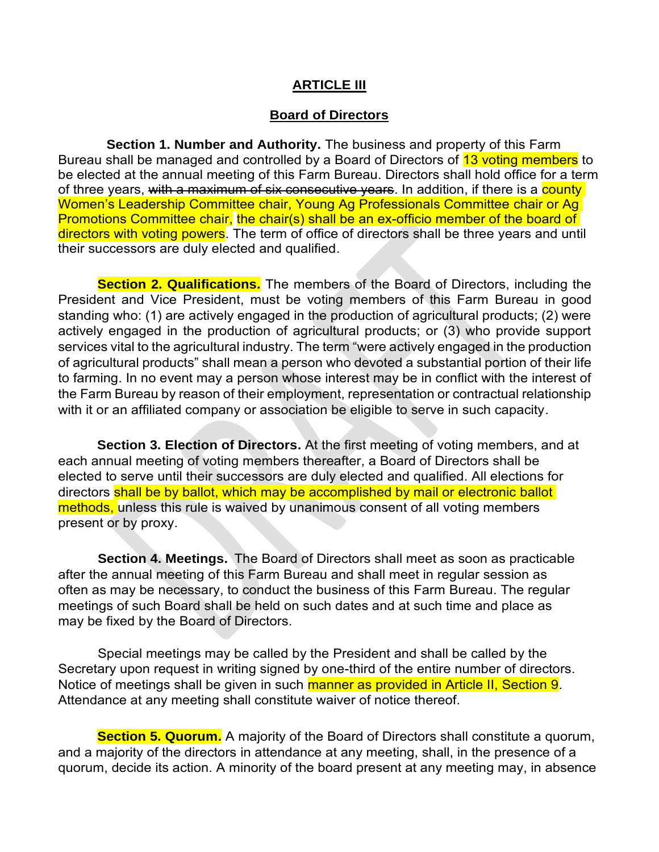#### **ARTICLE III**

#### **Board of Directors**

**Section 1. Number and Authority.** The business and property of this Farm Bureau shall be managed and controlled by a Board of Directors of 13 voting members to be elected at the annual meeting of this Farm Bureau. Directors shall hold office for a term of three years, with a maximum of six consecutive years. In addition, if there is a county Women's Leadership Committee chair, Young Ag Professionals Committee chair or Ag Promotions Committee chair, the chair(s) shall be an ex-officio member of the board of directors with voting powers. The term of office of directors shall be three years and until their successors are duly elected and qualified.

**Section 2. Qualifications.** The members of the Board of Directors, including the President and Vice President, must be voting members of this Farm Bureau in good standing who: (1) are actively engaged in the production of agricultural products; (2) were actively engaged in the production of agricultural products; or (3) who provide support services vital to the agricultural industry. The term "were actively engaged in the production of agricultural products" shall mean a person who devoted a substantial portion of their life to farming. In no event may a person whose interest may be in conflict with the interest of the Farm Bureau by reason of their employment, representation or contractual relationship with it or an affiliated company or association be eligible to serve in such capacity.

**Section 3. Election of Directors.** At the first meeting of voting members, and at each annual meeting of voting members thereafter, a Board of Directors shall be elected to serve until their successors are duly elected and qualified. All elections for directors shall be by ballot, which may be accomplished by mail or electronic ballot methods, unless this rule is waived by unanimous consent of all voting members present or by proxy.

**Section 4. Meetings.** The Board of Directors shall meet as soon as practicable after the annual meeting of this Farm Bureau and shall meet in regular session as often as may be necessary, to conduct the business of this Farm Bureau. The regular meetings of such Board shall be held on such dates and at such time and place as may be fixed by the Board of Directors.

Special meetings may be called by the President and shall be called by the Secretary upon request in writing signed by one-third of the entire number of directors. Notice of meetings shall be given in such manner as provided in Article II, Section 9. Attendance at any meeting shall constitute waiver of notice thereof.

**Section 5. Quorum.** A majority of the Board of Directors shall constitute a quorum, and a majority of the directors in attendance at any meeting, shall, in the presence of a quorum, decide its action. A minority of the board present at any meeting may, in absence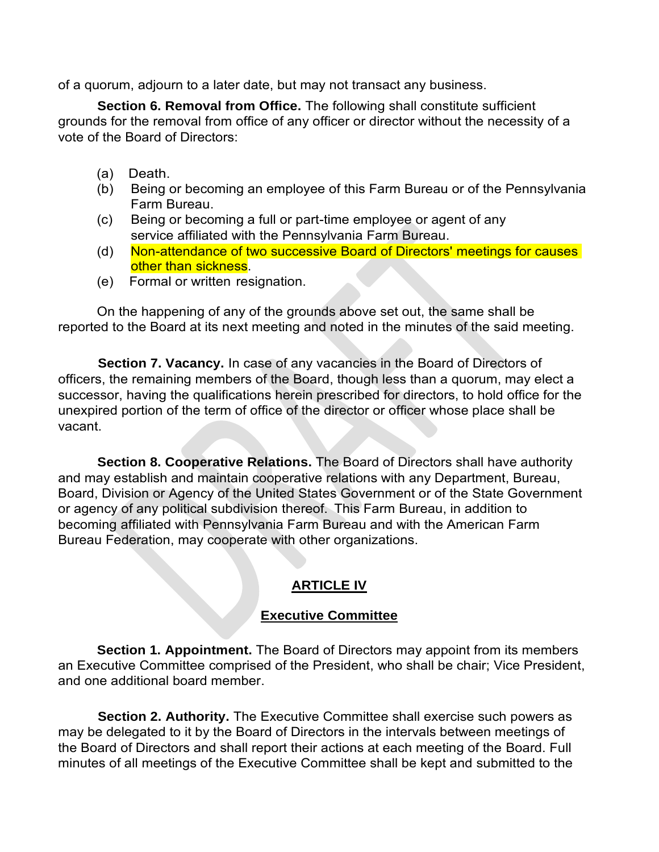of a quorum, adjourn to a later date, but may not transact any business.

**Section 6. Removal from Office.** The following shall constitute sufficient grounds for the removal from office of any officer or director without the necessity of a vote of the Board of Directors:

- (a) Death.
- (b) Being or becoming an employee of this Farm Bureau or of the Pennsylvania Farm Bureau.
- (c) Being or becoming a full or part-time employee or agent of any service affiliated with the Pennsylvania Farm Bureau.
- (d) Non-attendance of two successive Board of Directors' meetings for causes other than sickness.
- (e) Formal or written resignation.

On the happening of any of the grounds above set out, the same shall be reported to the Board at its next meeting and noted in the minutes of the said meeting.

**Section 7. Vacancy.** In case of any vacancies in the Board of Directors of officers, the remaining members of the Board, though less than a quorum, may elect a successor, having the qualifications herein prescribed for directors, to hold office for the unexpired portion of the term of office of the director or officer whose place shall be vacant.

**Section 8. Cooperative Relations.** The Board of Directors shall have authority and may establish and maintain cooperative relations with any Department, Bureau, Board, Division or Agency of the United States Government or of the State Government or agency of any political subdivision thereof. This Farm Bureau, in addition to becoming affiliated with Pennsylvania Farm Bureau and with the American Farm Bureau Federation, may cooperate with other organizations.

# **ARTICLE IV**

# **Executive Committee**

**Section 1. Appointment.** The Board of Directors may appoint from its members an Executive Committee comprised of the President, who shall be chair; Vice President, and one additional board member.

**Section 2. Authority.** The Executive Committee shall exercise such powers as may be delegated to it by the Board of Directors in the intervals between meetings of the Board of Directors and shall report their actions at each meeting of the Board. Full minutes of all meetings of the Executive Committee shall be kept and submitted to the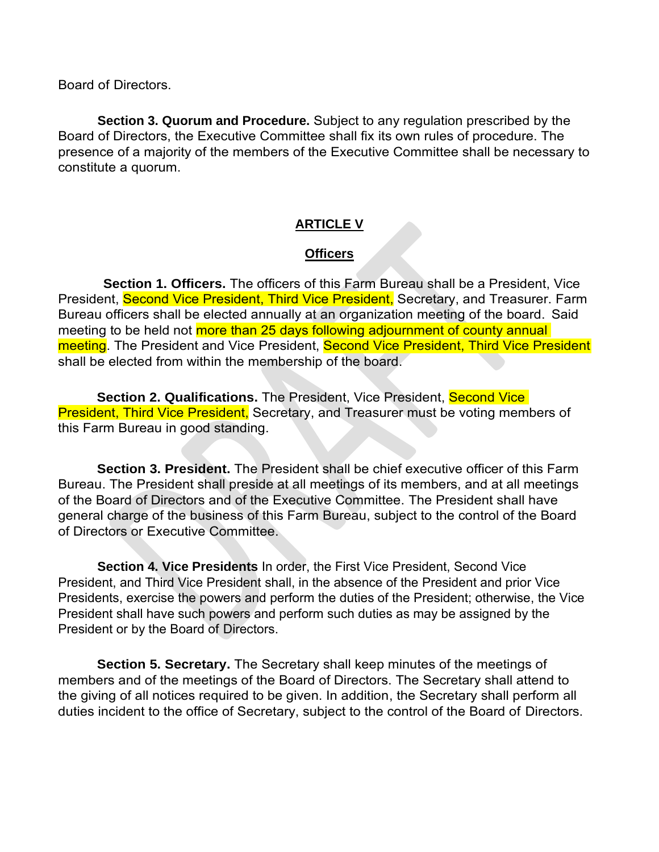Board of Directors.

**Section 3. Quorum and Procedure.** Subject to any regulation prescribed by the Board of Directors, the Executive Committee shall fix its own rules of procedure. The presence of a majority of the members of the Executive Committee shall be necessary to constitute a quorum.

#### **ARTICLE V**

#### **Officers**

**Section 1. Officers.** The officers of this Farm Bureau shall be a President, Vice President, Second Vice President, Third Vice President, Secretary, and Treasurer. Farm Bureau officers shall be elected annually at an organization meeting of the board. Said meeting to be held not more than 25 days following adjournment of county annual meeting. The President and Vice President, Second Vice President, Third Vice President shall be elected from within the membership of the board.

**Section 2. Qualifications.** The President, Vice President, Second Vice **President, Third Vice President, Secretary, and Treasurer must be voting members of** this Farm Bureau in good standing.

**Section 3. President.** The President shall be chief executive officer of this Farm Bureau. The President shall preside at all meetings of its members, and at all meetings of the Board of Directors and of the Executive Committee. The President shall have general charge of the business of this Farm Bureau, subject to the control of the Board of Directors or Executive Committee.

**Section 4. Vice Presidents** In order, the First Vice President, Second Vice President, and Third Vice President shall, in the absence of the President and prior Vice Presidents, exercise the powers and perform the duties of the President; otherwise, the Vice President shall have such powers and perform such duties as may be assigned by the President or by the Board of Directors.

**Section 5. Secretary.** The Secretary shall keep minutes of the meetings of members and of the meetings of the Board of Directors. The Secretary shall attend to the giving of all notices required to be given. In addition, the Secretary shall perform all duties incident to the office of Secretary, subject to the control of the Board of Directors.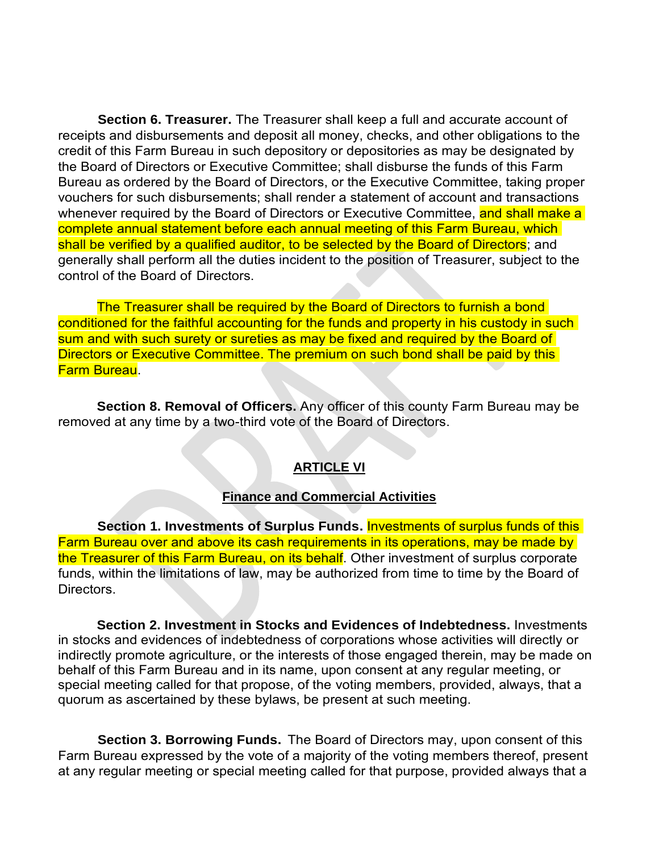**Section 6. Treasurer.** The Treasurer shall keep a full and accurate account of receipts and disbursements and deposit all money, checks, and other obligations to the credit of this Farm Bureau in such depository or depositories as may be designated by the Board of Directors or Executive Committee; shall disburse the funds of this Farm Bureau as ordered by the Board of Directors, or the Executive Committee, taking proper vouchers for such disbursements; shall render a statement of account and transactions whenever required by the Board of Directors or Executive Committee, and shall make a complete annual statement before each annual meeting of this Farm Bureau, which shall be verified by a qualified auditor, to be selected by the Board of Directors; and generally shall perform all the duties incident to the position of Treasurer, subject to the control of the Board of Directors.

The Treasurer shall be required by the Board of Directors to furnish a bond conditioned for the faithful accounting for the funds and property in his custody in such sum and with such surety or sureties as may be fixed and required by the Board of Directors or Executive Committee. The premium on such bond shall be paid by this Farm Bureau.

**Section 8. Removal of Officers.** Any officer of this county Farm Bureau may be removed at any time by a two-third vote of the Board of Directors.

#### **ARTICLE VI**

#### **Finance and Commercial Activities**

**Section 1. Investments of Surplus Funds.** Investments of surplus funds of this Farm Bureau over and above its cash requirements in its operations, may be made by the Treasurer of this Farm Bureau, on its behalf. Other investment of surplus corporate funds, within the limitations of law, may be authorized from time to time by the Board of Directors.

**Section 2. Investment in Stocks and Evidences of Indebtedness.** Investments in stocks and evidences of indebtedness of corporations whose activities will directly or indirectly promote agriculture, or the interests of those engaged therein, may be made on behalf of this Farm Bureau and in its name, upon consent at any regular meeting, or special meeting called for that propose, of the voting members, provided, always, that a quorum as ascertained by these bylaws, be present at such meeting.

**Section 3. Borrowing Funds.** The Board of Directors may, upon consent of this Farm Bureau expressed by the vote of a majority of the voting members thereof, present at any regular meeting or special meeting called for that purpose, provided always that a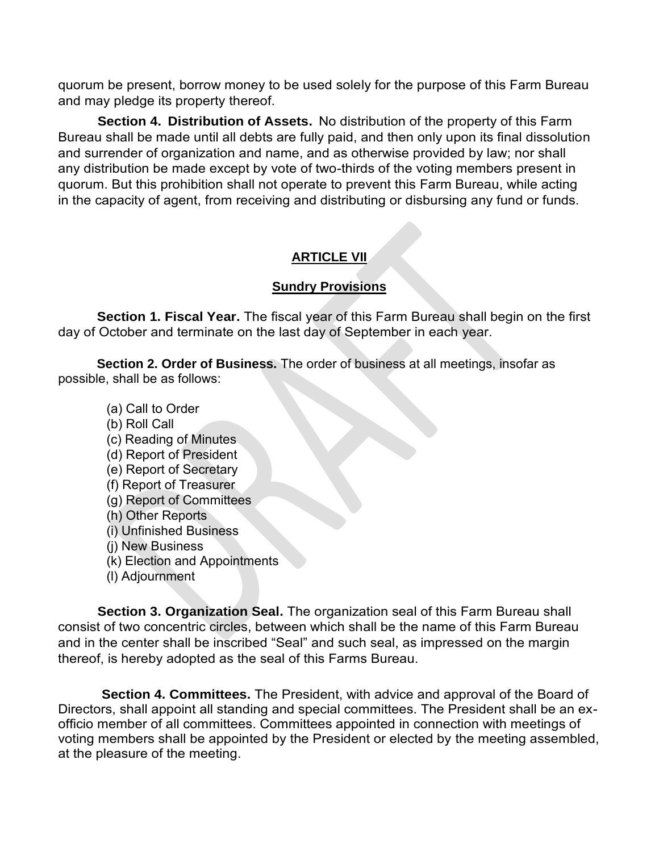quorum be present, borrow money to be used solely for the purpose of this Farm Bureau and may pledge its property thereof.

**Section 4. Distribution of Assets.** No distribution of the property of this Farm Bureau shall be made until all debts are fully paid, and then only upon its final dissolution and surrender of organization and name, and as otherwise provided by law; nor shall any distribution be made except by vote of two-thirds of the voting members present in quorum. But this prohibition shall not operate to prevent this Farm Bureau, while acting in the capacity of agent, from receiving and distributing or disbursing any fund or funds.

# **ARTICLE VII**

#### **Sundry Provisions**

**Section 1. Fiscal Year.** The fiscal year of this Farm Bureau shall begin on the first day of October and terminate on the last day of September in each year.

**Section 2. Order of Business.** The order of business at all meetings, insofar as possible, shall be as follows:

- (a) Call to Order
- (b) Roll Call
- (c) Reading of Minutes
- (d) Report of President
- (e) Report of Secretary
- (f) Report of Treasurer
- (g) Report of Committees
- (h) Other Reports
- (i) Unfinished Business
- (j) New Business
- (k) Election and Appointments
- (l) Adjournment

**Section 3. Organization Seal.** The organization seal of this Farm Bureau shall consist of two concentric circles, between which shall be the name of this Farm Bureau and in the center shall be inscribed "Seal" and such seal, as impressed on the margin thereof, is hereby adopted as the seal of this Farms Bureau.

**Section 4. Committees.** The President, with advice and approval of the Board of Directors, shall appoint all standing and special committees. The President shall be an exofficio member of all committees. Committees appointed in connection with meetings of voting members shall be appointed by the President or elected by the meeting assembled, at the pleasure of the meeting.